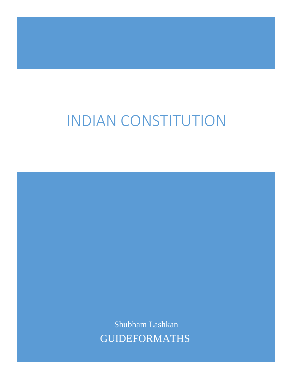# INDIAN CONSTITUTION

Shubham Lashkan GUIDEFORMATHS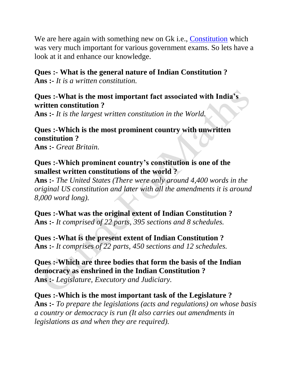We are here again with something new on Gk i.e., [Constitution](https://en.wikipedia.org/wiki/Constitution) which was very much important for various government exams. So lets have a look at it and enhance our knowledge.

## **Ques :- What is the general nature of Indian Constitution ?**

**Ans :-** *It is a written constitution.*

#### **Ques :-What is the most important fact associated with India's written constitution ?**

**Ans :-** *It is the largest written constitution in the World.*

**Ques :-Which is the most prominent country with unwritten constitution ? Ans :-** *Great Britain.*

# **Ques :-Which prominent country's constitution is one of the smallest written constitutions of the world ?**

**Ans :-** *The United States (There were only around 4,400 words in the original US constitution and later with all the amendments it is around 8,000 word long).*

**Ques :-What was the original extent of Indian Constitution ? Ans :-** *It comprised of 22 parts, 395 sections and 8 schedules.*

# **Ques :-What is the present extent of Indian Constitution ?**

**Ans :-** *It comprises of 22 parts, 450 sections and 12 schedules.*

# **Ques :-Which are three bodies that form the basis of the Indian democracy as enshrined in the Indian Constitution ?**

**Ans :-** *Legislature, Executory and Judiciary.*

**Ques :-Which is the most important task of the Legislature ? Ans :-** *To prepare the legislations (acts and regulations) on whose basis a country or democracy is run (It also carries out amendments in legislations as and when they are required).*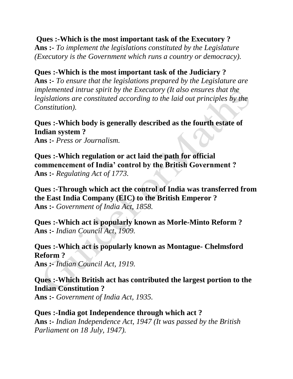#### **Ques :-Which is the most important task of the Executory ?**

**Ans :-** *To implement the legislations constituted by the Legislature (Executory is the Government which runs a country or democracy).*

#### **Ques :-Which is the most important task of the Judiciary ?**

**Ans :-** *To ensure that the legislations prepared by the Legislature are implemented intrue spirit by the Executory (It also ensures that the legislations are constituted according to the laid out principles by the Constitution).*

# **Ques :-Which body is generally described as the fourth estate of Indian system ?**

**Ans :-** *Press or Journalism.*

**Ques :-Which regulation or act laid the path for official commencement of India' control by the British Government ? Ans :-** *Regulating Act of 1773.*

**Ques :-Through which act the control of India was transferred from the East India Company (EIC) to the British Emperor ? Ans :-** *Government of India Act, 1858.*

**Ques :-Which act is popularly known as Morle-Minto Reform ? Ans :-** *Indian Council Act, 1909.*

**Ques :-Which act is popularly known as Montague- Chelmsford Reform ? Ans :-** *Indian Council Act, 1919.*

**Ques :-Which British act has contributed the largest portion to the Indian Constitution ?**

**Ans :-** *Government of India Act, 1935.*

**Ques :-India got Independence through which act ? Ans :-** *Indian Independence Act, 1947 (It was passed by the British Parliament on 18 July, 1947).*